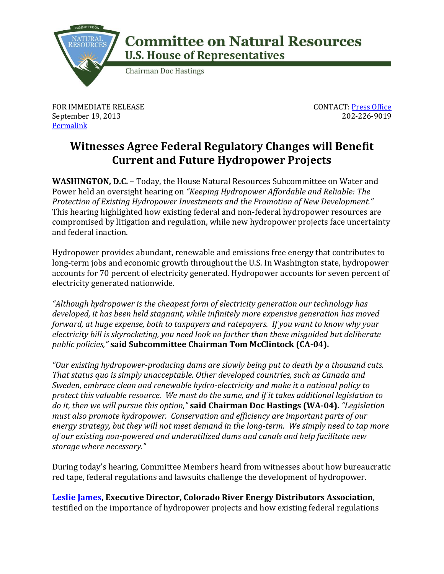

## **Committee on Natural Resources U.S. House of Representatives**

**Chairman Doc Hastings** 

FOR IMMEDIATE RELEASE September 19, 2013 **[Permalink](http://naturalresources.house.gov/news/documentsingle.aspx?DocumentID=350265)** 

CONTACT: [Press Office](http://naturalresources.house.gov/contact/media.htm) 202-226-9019

## **Witnesses Agree Federal Regulatory Changes will Benefit Current and Future Hydropower Projects**

**WASHINGTON, D.C.** – Today, the House Natural Resources Subcommittee on Water and Power held an oversight hearing on *"Keeping Hydropower Affordable and Reliable: The Protection of Existing Hydropower Investments and the Promotion of New Development."* This hearing highlighted how existing federal and non-federal hydropower resources are compromised by litigation and regulation, while new hydropower projects face uncertainty and federal inaction.

Hydropower provides abundant, renewable and emissions free energy that contributes to long-term jobs and economic growth throughout the U.S. In Washington state, hydropower accounts for 70 percent of electricity generated. Hydropower accounts for seven percent of electricity generated nationwide.

*"Although hydropower is the cheapest form of electricity generation our technology has developed, it has been held stagnant, while infinitely more expensive generation has moved forward, at huge expense, both to taxpayers and ratepayers. If you want to know why your electricity bill is skyrocketing, you need look no farther than these misguided but deliberate public policies,"* **said Subcommittee Chairman Tom McClintock (CA-04).**

*"Our existing hydropower-producing dams are slowly being put to death by a thousand cuts. That status quo is simply unacceptable. Other developed countries, such as Canada and Sweden, embrace clean and renewable hydro-electricity and make it a national policy to protect this valuable resource. We must do the same, and if it takes additional legislation to do it, then we will pursue this option,"* **said Chairman Doc Hastings (WA-04).** *"Legislation must also promote hydropower. Conservation and efficiency are important parts of our energy strategy, but they will not meet demand in the long-term. We simply need to tap more of our existing non-powered and underutilized dams and canals and help facilitate new storage where necessary."*

During today's hearing, Committee Members heard from witnesses about how bureaucratic red tape, federal regulations and lawsuits challenge the development of hydropower.

**[Leslie James,](http://naturalresources.house.gov/uploadedfiles/jamestestimony09-19-13.pdf) Executive Director, Colorado River Energy Distributors Association**, testified on the importance of hydropower projects and how existing federal regulations